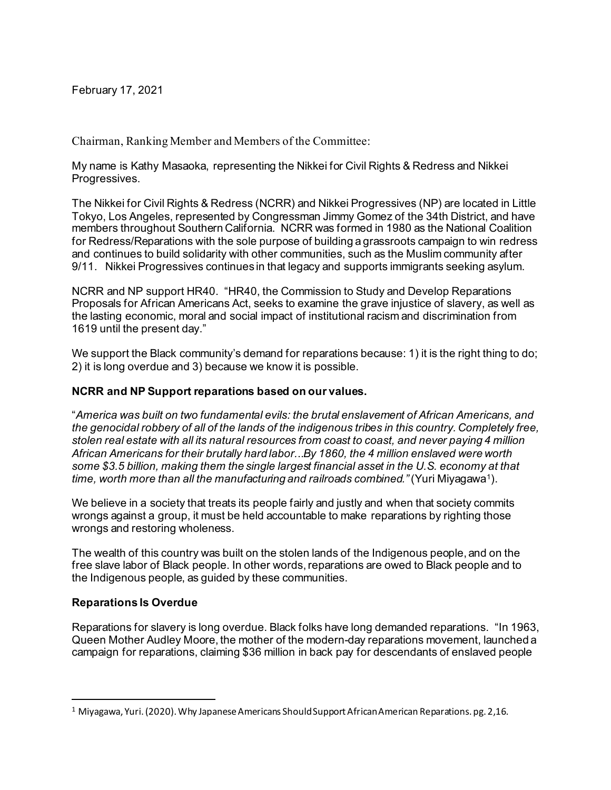February 17, 2021

Chairman, Ranking Member and Members of the Committee:

My name is Kathy Masaoka, representing the Nikkei for Civil Rights & Redress and Nikkei Progressives.

The Nikkei for Civil Rights & Redress (NCRR) and Nikkei Progressives (NP) are located in Little Tokyo, Los Angeles, represented by Congressman Jimmy Gomez of the 34th District, and have members throughout Southern California. NCRR was formed in 1980 as the National Coalition for Redress/Reparations with the sole purpose of building a grassroots campaign to win redress and continues to build solidarity with other communities, such as the Muslim community after 9/11. Nikkei Progressives continues in that legacy and supports immigrants seeking asylum.

NCRR and NP support HR40. "HR40, the Commission to Study and Develop Reparations Proposals for African Americans Act, seeks to examine the grave injustice of slavery, as well as the lasting economic, moral and social impact of institutional racism and discrimination from 1619 until the present day."

We support the Black community's demand for reparations because: 1) it is the right thing to do; 2) it is long overdue and 3) because we know it is possible.

#### **NCRR and NP Support reparations based on our values.**

"*America was built on two fundamental evils: the brutal enslavement of African Americans, and the genocidal robbery of all of the lands of the indigenous tribes in this country. Completely free, stolen real estate with all its natural resources from coast to coast, and never paying 4 million African Americans for their brutally hard labor.*..*By 1860, the 4 million enslaved were worth some \$3.5 billion, making them the single largest financial asset in the U.S. economy at that time, worth more than all the manufacturing and railroads combined."* (Yuri Miyagawa[1](#page-0-0)).

We believe in a society that treats its people fairly and justly and when that society commits wrongs against a group, it must be held accountable to make reparations by righting those wrongs and restoring wholeness.

The wealth of this country was built on the stolen lands of the Indigenous people, and on the free slave labor of Black people. In other words, reparations are owed to Black people and to the Indigenous people, as guided by these communities.

#### **Reparations Is Overdue**

Reparations for slavery is long overdue. Black folks have long demanded reparations. "In 1963, Queen Mother Audley Moore, the mother of the modern-day reparations movement, launched a campaign for reparations, claiming \$36 million in back pay for descendants of enslaved people

<span id="page-0-0"></span><sup>1</sup> Miyagawa, Yuri. (2020). Why Japanese Americans Should Support African American Reparations. pg. 2,16.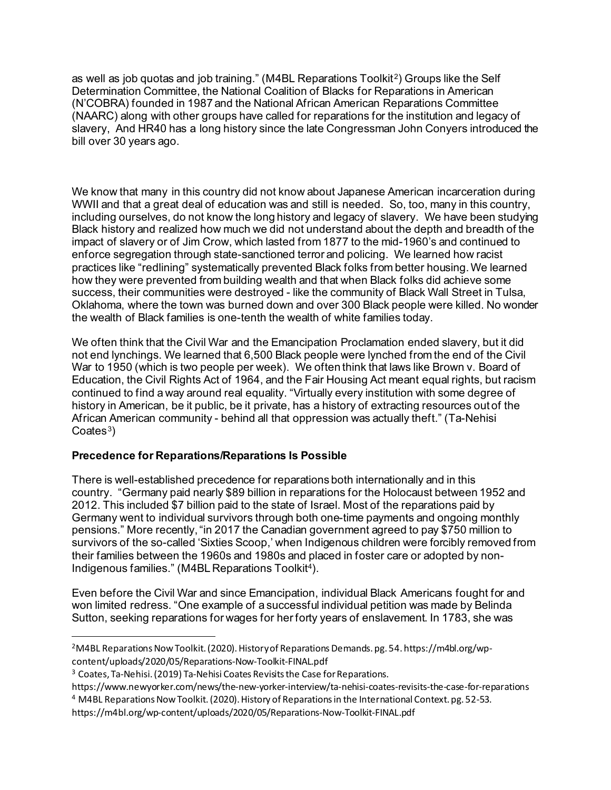as well as job quotas and job training." (M4BL Reparations Toolkit<sup>[2](#page-1-0)</sup>) Groups like the Self Determination Committee, the National Coalition of Blacks for Reparations in American (N'COBRA) founded in 1987 and the National African American Reparations Committee (NAARC) along with other groups have called for reparations for the institution and legacy of slavery, And HR40 has a long history since the late Congressman John Conyers introduced the bill over 30 years ago.

We know that many in this country did not know about Japanese American incarceration during WWII and that a great deal of education was and still is needed. So, too, many in this country, including ourselves, do not know the long history and legacy of slavery. We have been studying Black history and realized how much we did not understand about the depth and breadth of the impact of slavery or of Jim Crow, which lasted from 1877 to the mid-1960's and continued to enforce segregation through state-sanctioned terror and policing. We learned how racist practices like "redlining" systematically prevented Black folks from better housing. We learned how they were prevented from building wealth and that when Black folks did achieve some success, their communities were destroyed - like the community of Black Wall Street in Tulsa, Oklahoma, where the town was burned down and over 300 Black people were killed. No wonder the wealth of Black families is one-tenth the wealth of white families today.

We often think that the Civil War and the Emancipation Proclamation ended slavery, but it did not end lynchings. We learned that 6,500 Black people were lynched from the end of the Civil War to 1950 (which is two people per week). We often think that laws like Brown v. Board of Education, the Civil Rights Act of 1964, and the Fair Housing Act meant equal rights, but racism continued to find a way around real equality. "Virtually every institution with some degree of history in American, be it public, be it private, has a history of extracting resources out of the African American community - behind all that oppression was actually theft." (Ta-Nehisi  $Coates<sup>3</sup>$  $Coates<sup>3</sup>$  $Coates<sup>3</sup>$ 

# **Precedence for Reparations/Reparations Is Possible**

There is well-established precedence for reparations both internationally and in this country. "Germany paid nearly \$89 billion in reparations for the Holocaust between 1952 and 2012. This included \$7 billion paid to the state of Israel. Most of the reparations paid by Germany went to individual survivors through both one-time payments and ongoing monthly pensions." More recently, "in 2017 the Canadian government agreed to pay \$750 million to survivors of the so-called 'Sixties Scoop,' when Indigenous children were forcibly removed from their families between the 1960s and 1980s and placed in foster care or adopted by non-Indigenous families." (M4BL Reparations Toolkit<sup>4</sup>).

Even before the Civil War and since Emancipation, individual Black Americans fought for and won limited redress. "One example of a successful individual petition was made by Belinda Sutton, seeking reparations for wages for her forty years of enslavement. In 1783, she was

<span id="page-1-0"></span><sup>2</sup>M4BL Reparations Now Toolkit. (2020). History of Reparations Demands. pg. 54. https://m4bl.org/wpcontent/uploads/2020/05/Reparations-Now-Toolkit-FINAL.pdf

<span id="page-1-1"></span><sup>3</sup> Coates, Ta-Nehisi. (2019) Ta-Nehisi Coates Revisits the Case for Reparations.

https://www.newyorker.com/news/the-new-yorker-interview/ta-nehisi-coates-revisits-the-case-for-reparations

<span id="page-1-2"></span><sup>4</sup> M4BL Reparations Now Toolkit. (2020). History of Reparations in the International Context. pg. 52-53.

https://m4bl.org/wp-content/uploads/2020/05/Reparations-Now-Toolkit-FINAL.pdf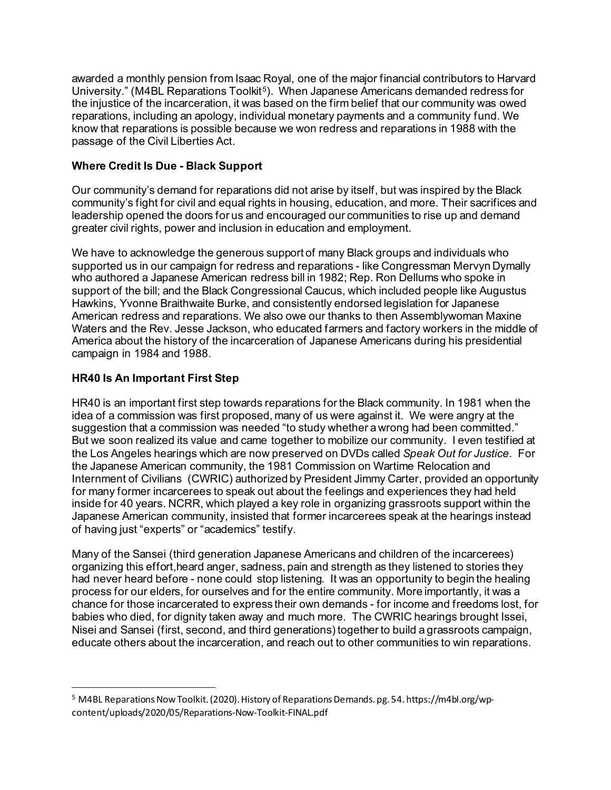awarded a monthly pension from Isaac Royal, one of the major financial contributors to Harvard University." (M4BL Reparations Toolkit<sup>[5](#page-2-0)</sup>). When Japanese Americans demanded redress for the injustice of the incarceration, it was based on the firm belief that our community was owed reparations, including an apology, individual monetary payments and a community fund. We know that reparations is possible because we won redress and reparations in 1988 with the passage of the Civil Liberties Act.

# **Where Credit Is Due - Black Support**

Our community's demand for reparations did not arise by itself, but was inspired by the Black community's fight for civil and equal rights in housing, education, and more. Their sacrifices and leadership opened the doors for us and encouraged our communities to rise up and demand greater civil rights, power and inclusion in education and employment.

We have to acknowledge the generous support of many Black groups and individuals who supported us in our campaign for redress and reparations - like Congressman Mervyn Dymally who authored a Japanese American redress bill in 1982; Rep. Ron Dellums who spoke in support of the bill; and the Black Congressional Caucus, which included people like Augustus Hawkins, Yvonne Braithwaite Burke, and consistently endorsed legislation for Japanese American redress and reparations. We also owe our thanks to then Assemblywoman Maxine Waters and the Rev. Jesse Jackson, who educated farmers and factory workers in the middle of America about the history of the incarceration of Japanese Americans during his presidential campaign in 1984 and 1988.

### **HR40 Is An Important First Step**

HR40 is an important first step towards reparations for the Black community. In 1981 when the idea of a commission was first proposed, many of us were against it. We were angry at the suggestion that a commission was needed "to study whether a wrong had been committed." But we soon realized its value and came together to mobilize our community. I even testified at the Los Angeles hearings which are now preserved on DVDs called *Speak Out for Justice*. For the Japanese American community, the 1981 Commission on Wartime Relocation and Internment of Civilians (CWRIC) authorized by President Jimmy Carter, provided an opportunity for many former incarcerees to speak out about the feelings and experiences they had held inside for 40 years. NCRR, which played a key role in organizing grassroots support within the Japanese American community, insisted that former incarcerees speak at the hearings instead of having just "experts" or "academics" testify.

Many of the Sansei (third generation Japanese Americans and children of the incarcerees) organizing this effort,heard anger, sadness, pain and strength as they listened to stories they had never heard before - none could stop listening. It was an opportunity to begin the healing process for our elders, for ourselves and for the entire community. More importantly, it was a chance for those incarcerated to express their own demands - for income and freedoms lost, for babies who died, for dignity taken away and much more. The CWRIC hearings brought Issei, Nisei and Sansei (first, second, and third generations) together to build a grassroots campaign, educate others about the incarceration, and reach out to other communities to win reparations.

<span id="page-2-0"></span><sup>5</sup> M4BL Reparations Now Toolkit. (2020). History of Reparations Demands. pg. 54. https://m4bl.org/wpcontent/uploads/2020/05/Reparations-Now-Toolkit-FINAL.pdf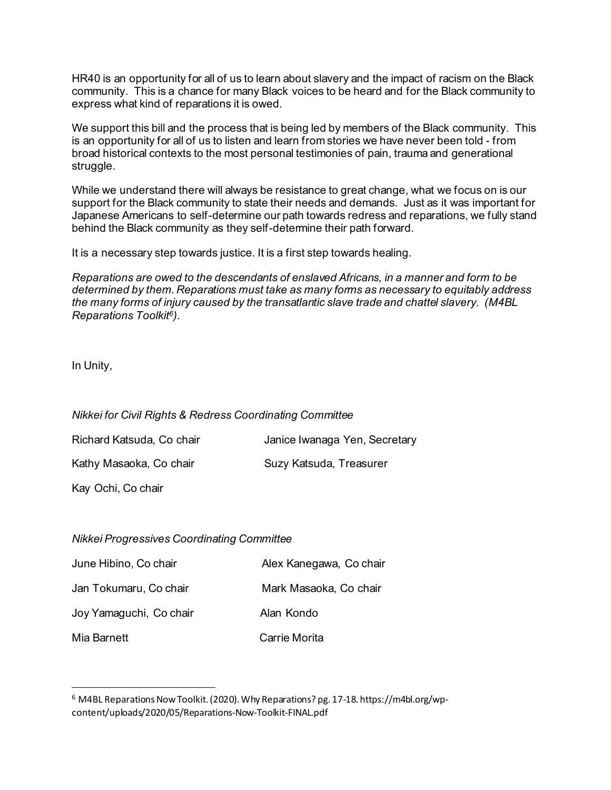HR40 is an opportunity for all of us to learn about slavery and the impact of racism on the Black community. This is a chance for many Black voices to be heard and for the Black community to express what kind of reparations it is owed.

We support this bill and the process that is being led by members of the Black community. This is an opportunity for all of us to listen and learn from stories we have never been told - from broad historical contexts to the most personal testimonies of pain, trauma and generational struggle.

While we understand there will always be resistance to great change, what we focus on is our support for the Black community to state their needs and demands. Just as it was important for Japanese Americans to self-determine our path towards redress and reparations, we fully stand behind the Black community as they self-determine their path forward.

It is a necessary step towards justice. It is a first step towards healing.

*Reparations are owed to the descendants of enslaved Africans, in a manner and form to be determined by them. Reparations must take as many forms as necessary to equitably address the many forms of injury caused by the transatlantic slave trade and chattel slavery. (M4BL Reparations Toolkit[6\)](#page-3-0).*

In Unity,

*Nikkei for Civil Rights & Redress Coordinating Committee*

| Richard Katsuda, Co chair | Janice Iwanaga Yen, Secretary |
|---------------------------|-------------------------------|
| Kathy Masaoka, Co chair   | Suzy Katsuda, Treasurer       |

Kay Ochi, Co chair

*Nikkei Progressives Coordinating Committee*

| June Hibino, Co chair   | Alex Kanegawa, Co chair |
|-------------------------|-------------------------|
| Jan Tokumaru, Co chair  | Mark Masaoka, Co chair  |
| Joy Yamaguchi, Co chair | Alan Kondo              |
| Mia Barnett             | Carrie Morita           |

<span id="page-3-0"></span><sup>6</sup> M4BL Reparations Now Toolkit. (2020). Why Reparations? pg. 17-18. https://m4bl.org/wpcontent/uploads/2020/05/Reparations-Now-Toolkit-FINAL.pdf